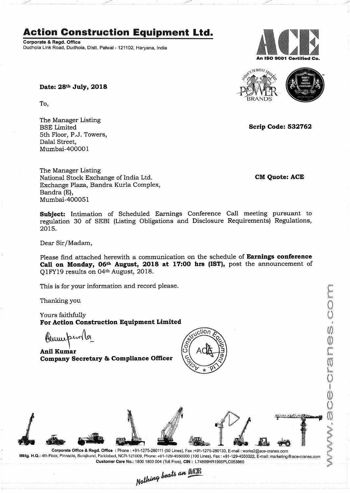# Action Construction Equipment Ltd.

Corporate & Regd. Office Dudhola Link Road, Dudhola, Distt. Palwal - 121102, Haryana, India An ISO 9001 Certified Co.



Scrip Code: 532762

Ü

Date: 28<sup>th</sup> July, 2018

To,

The Manager Listing 5th Floor, P.J. Towers, Dalal Street, Mumbai—400001

The Manager Listing National Stock Exchange of India Ltd. **CM** CM Quote: ACE Exchange Plaza, Bandra Kurla Complex, Bandra (E), Mumbai-400051

Subject: Intimation of Scheduled Earnings Conference Call meeting pursuant to regulation 30 of SEBI (Listing Obligations and Disclosure Requirements) Regulations,

Dear Sir/Madam,

2015.

Please find attached herewith a communication on the schedule of **Earnings conference** Call on Monday, 06th August, 2018 at 17:00 hrs (IST), post the announcement of Q1FY19 results on 04<sup>th</sup> August, 2018.

This is for your information and record please.

Thanking you

Yours faithfully For Action Construction Equipment Limited

Aumeperoller

Anil Kumar Company Secretary & Compliance Officer





Corporate Office & Regd. Office : Phone: +91-1275-280111 (50 Lines), Fax :+91-1275-280133, E-mail : worksZ@ace-cranes.com Mktg. H.Q.: 4th Floor, Pinnacle, Surajkund, Faridabad, NOR-121009, Phone: +91-129-4550000 (100 Lines), Fax : +91-129-4550022, E-mail: marketing©ace-cranes.com

Customer Care No.: 1800 1800 004 (Toll Free), CIN : L74899HR1995PLC053860<br>Nathing beats an **Mathing**